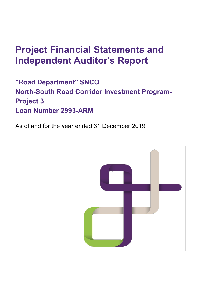# **Project Financial Statements and Independent Auditor's Report**

**"Road Department" SNCO North-South Road Corridor Investment Program-Project 3 Loan Number 2993-ARM**

As of and for the year ended 31 December 2019

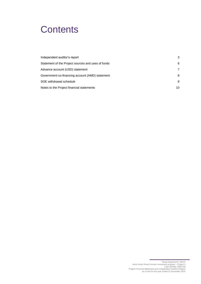# **Contents**

| Independent auditor's report                       | 3  |
|----------------------------------------------------|----|
| Statement of the Project sources and uses of funds | 6  |
| Advance account (USD) statement                    | 7  |
| Government co-financing account (AMD) statement    | 8  |
| SOE withdrawal schedule                            | 9  |
| Notes to the Project financial statements          | 10 |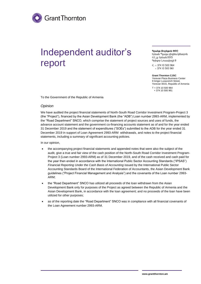# <span id="page-2-0"></span>Independent auditor's report

Երևան Պլազա բիզնես կենտրոն ՀՀ, ք. Երևան 0015 Գրիգոր Լուսավորչի 9

 $\textsf{c}_{.}$  + 374 10 500 964 +374 10 500 961

 **Grant Thornton CJSC** Yerevan Plaza Business Center

9 Grigor Lusavorich Street Yerevan 0015, Republic of Armenia

T + 374 10 500 964 + 374 10 500 961

To the Government of the Republic of Armenia

#### *Opinion*

We have audited the project financial statements of North-South Road Corridor Investment Program-Project 3 (the "Project"), financed by the Asian Development Bank (the "ADB") Loan number 2993-ARM, implemented by the "Road Department" SNCO, which comprise the statement of project sources and uses of funds, the advance account statement and the government co-financing accounts statement as of and for the year ended 31 December 2019 and the statement of expenditures ("SOEs") submitted to the ADB for the year ended 31 December 2019 in support of Loan Agreement 2993-ARM withdrawals, and notes to the project financial statements, including a summary of significant accounting policies.

In our opinion,

- the accompanying project financial statements and appended notes that were also the subject of the audit, give a true and fair view of the cash position of the North-South Road Corridor Investment Program-Project 3 (Loan number 2993-ARM) as of 31 December 2019, and of the cash received and cash paid for the year then ended in accordance with the International Public Sector Accounting Standards ("IPSAS") *Financial Reporting Under the Cash Basis of Accounting* issued by the International Public Sector Accounting Standards Board of the International Federation of Accountants, the Asian Development Bank guidelines ("Project Financial Management and Analysis") and the covenants of the Loan number 2993- ARM;
- the "Road Department" SNCO has utilized all proceeds of the loan withdrawn from the Asian Development Bank only for purposes of the Project as agreed between the Republic of Armenia and the Asian Development Bank, in accordance with the loan agreement; and no proceeds of the loan have been utilized for other purposes;
- as of the reporting date the "Road Department" SNCO was in compliance with all financial covenants of the Loan Agreement number 2993-ARM.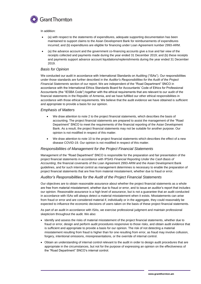

In addition:

- (a) with respect to the statements of expenditures, adequate supporting documentation has been maintained to support claims to the Asian Development Bank for reimbursements of expenditures incurred; and (b) expenditures are eligible for financing under Loan Agreement number 2993-ARM.
- (a) the advance account and the government co-financing accounts give a true and fair view of the receipts collected and payments made during the year ended 31 December 2019; and (b) these receipts and payments support advance account liquidations/replenishments during the year ended 31 December 2019.

#### *Basis for Opinion*

We conducted our audit in accordance with International Standards on Auditing ("ISAs"). Our responsibilities under those standards are further described in the *Auditor's Responsibilities for the Audit of the Project Financial Statements* section of our report. We are independent of the "Road Department" SNCO in accordance with the International Ethics Standards Board for Accountants' Code of Ethics for Professional Accountants (the "IESBA Code") together with the ethical requirements that are relevant to our audit of the financial statements in the Republic of Armenia, and we have fulfilled our other ethical responsibilities in accordance with those ethical requirements. We believe that the audit evidence we have obtained is sufficient and appropriate to provide a basis for our opinion.

#### *Emphasis of Matters*

- We draw attention to note 2 to the project financial statements, which describes the basis of accounting. The project financial statements are prepared to assist the management of the "Road Department" SNCO to meet the requirements of the financial reporting of the Asian Development Bank. As a result, the project financial statements may not be suitable for another purpose. Our opinion is not modified in respect of this matter.
- We draw attention to note 10 to the project financial statements which describes the effect of a new disease COVID-19. Our opinion is not modified in respect of this matter.

#### *Responsibilities of Management for the Project Financial Statements*

Management of the "Road Department" SNCO is responsible for the preparation and fair presentation of the project financial statements in accordance with IPSAS *Financial Reporting Under the Cash Basis of Accounting*, the financial covenants of the Loan Agreement 2993-ARM and the Asian Development Bank guidelines, and for such internal control as management determines is necessary to enable the preparation of project financial statements that are free from material misstatement, whether due to fraud or error.

#### *Auditor's Responsibilities for the Audit of the Project Financial Statements*

Our objectives are to obtain reasonable assurance about whether the project financial statements as a whole are free from material misstatement, whether due to fraud or error, and to issue an auditor's report that includes our opinion. Reasonable assurance is a high level of assurance, but is not a guarantee that an audit conducted in accordance with ISAs will always detect a material misstatement when it exists. Misstatements can arise from fraud or error and are considered material if, individually or in the aggregate, they could reasonably be expected to influence the economic decisions of users taken on the basis of these project financial statements.

As part of an audit in accordance with ISAs, we exercise professional judgment and maintain professional skepticism throughout the audit. We also:

- Identify and assess the risks of material misstatement of the project financial statements, whether due to fraud or error, design and perform audit procedures responsive to those risks, and obtain audit evidence that is sufficient and appropriate to provide a basis for our opinion. The risk of not detecting a material misstatement resulting from fraud is higher than for one resulting from error, as fraud may involve collusion, forgery, intentional omissions, misrepresentations, or the override of internal control.
- Obtain an understanding of internal control relevant to the audit in order to design audit procedures that are appropriate in the circumstances, but not for the purpose of expressing an opinion on the effectiveness of the "Road Department" SNCO's internal control.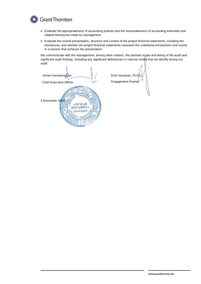

- Evaluate the appropriateness of accounting policies and the reasonableness of accounting estimates and related disclosures made by management.
- Evaluate the overall presentation, structure and content of the project financial statements, including the disclosures, and whether the project financial statements represent the underlying transactions and events in a manner that achieves fair presentation.

We communicate with the management, among other matters, the planned scope and timing of the audit and significant audit findings, including any significant deficiencies in internal control that we identify during our audit.

Armen Hovhannisyan Chief Executive Officer 4 December 2020«Aruta enruenux 00040569

Emil Vassilyan, FCC Engagement Partner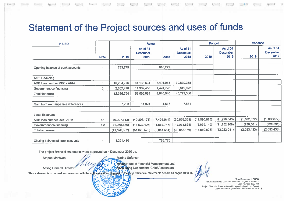# Statement of the Project sources and uses of funds

| In USD                              |                |                | <b>Actual</b>                       |             |                                     |              | <b>Budget</b>                       | Variance      |                                     |
|-------------------------------------|----------------|----------------|-------------------------------------|-------------|-------------------------------------|--------------|-------------------------------------|---------------|-------------------------------------|
|                                     | <b>Note</b>    | 2019           | As of 31<br><b>December</b><br>2019 | 2018        | As of 31<br><b>December</b><br>2018 | 2019         | As of 31<br><b>December</b><br>2019 | 2019          | As of 31<br><b>December</b><br>2019 |
|                                     |                |                |                                     |             |                                     |              |                                     |               |                                     |
| Opening balance of bank accounts    | 4              | 783,775        |                                     | 910,279     |                                     |              |                                     |               |                                     |
|                                     |                |                |                                     |             |                                     |              |                                     |               |                                     |
| <b>Add: Financing</b>               |                |                |                                     |             |                                     |              |                                     |               |                                     |
| ADB loan number 2993 - ARM          | 5              | 10,284,276     | 41,163,634                          | 7,491,914   | 30,879,358                          |              |                                     |               |                                     |
| Government co-financing             | 6              | 2,052,478      | 11,902,450                          | 1,424,726   | 9,849,972                           |              |                                     |               |                                     |
| <b>Total financing</b>              |                | 12,336,754     | 53,066,084                          | 8,916,640   | 40,729,330                          |              |                                     |               |                                     |
| Gain from exchange rate differences |                | 7,293          | 14,924                              | 1,517       | 7,631                               |              |                                     |               |                                     |
| Less: Expenses                      |                |                |                                     |             |                                     |              |                                     |               |                                     |
| ADB Ioan number 2993-ARM            | 7.1            | (9,927,813)    | (40, 807, 171)                      | (7,491,914) | (30, 879, 358)                      | (11,090,685) | (41, 970, 043)                      | (1, 162, 872) | (1, 162, 872)                       |
| Government co-financing             | 7.2            | (1,948,579)    | (11,022,407)                        | (1,552,747) | (9,073,828)                         | (2,879,140)  | (11,952,968)                        | (930, 561)    | (930, 561)                          |
| <b>Total expenses</b>               |                | (11, 876, 392) | (51,829,578)                        | (9,044,661) | (39,953,186)                        | (13,969,825) | (53, 923, 011)                      | (2,093,433)   | (2,093,433)                         |
| Closing balance of bank accounts    | $\overline{4}$ | 1,251,430      |                                     | 783,775     |                                     |              |                                     |               |                                     |

The project financial statements were approved on 4 December 2020 by:

Stepan Machyan

Marina Safaryan **Action** Head of Financial Management and R

**Acting General Director** 

**Ascounting Department, Chief Accountant** 

This statement is to be read in conjunction with the notice and forming part of the project financial statements set out on pages 10 to 18.

"Road Department" SNCO North-South Road Corridor Investment program - Project 3 Loan Number 2993-AM Project Financial Statements and Independent Auditor's Report As of and for the year ended 31 December 2019 6

027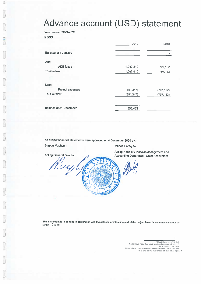# Advance account (USD) statement

Loan number 2993-ARM

In USD

|                               | 2019       | 2018       |
|-------------------------------|------------|------------|
|                               |            |            |
| Balance at 1 January          |            |            |
|                               |            |            |
| Add:                          |            |            |
| <b>ADB</b> funds              | 1,047,810  | 797,162    |
| <b>Total inflow</b>           | 1,047,810  | 797,162    |
|                               |            |            |
| Less:                         |            |            |
| Project expenses              | (691, 347) | (797, 162) |
| <b>Total outflow</b>          | (691, 347) | (797, 162) |
|                               |            |            |
| <b>Balance at 31 December</b> | 356,463    |            |
|                               |            |            |

The project financial statements were approved on 4 December 2020 by:

Stepan Machyan Marina Safaryan Acting Head of Financial Management and **Acting General Director** Accounting Department, Chief Accountant Tuy

This statement is to be read in conjunction with the notes to and forming part of the project financial statements set out on pages 10 to 18.

Noard Department Program<br>1976: 1976: 1976: 1976: 1976: 1976<br>Project Financial Statements and Independent Auditors Report<br>1976: As of and for the year ended 31 December 20

Road Departmen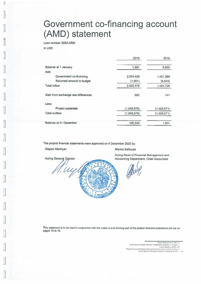# Government co-financing account (AMD) statement

Loan number 2993-ARM

In USD

|                                     | 2019        | 2018        |
|-------------------------------------|-------------|-------------|
| Balance at 1 January                | 1,951       | 6,655       |
| Add:                                |             |             |
| Government co-financing             | 2,054,429   | 1,431,369   |
| Returned amount to budget           | (1,951)     | (6, 643)    |
| <b>Total inflow</b>                 | 2,052,478   | 1,424,726   |
| Gain from exchange rate differences | 692         | 141         |
| Less:                               |             |             |
| Project expenses                    | (1,948,579) | (1,429,571) |
| <b>Total outflow</b>                | (1,948,579) | (1,429,571) |
| Balance at 31 December              | 106,542     | 1.951       |

The project financial statements were approved on 4 December 2020 by:

Stepan Machyan

Marina Safaryan

Acting Head of Financial Management and Accounting Department, Chief Accountant

**Acting General Director** 

Viny

This statement is to be read in conjunction with the notes to and forming part of the project financial statements set out on pages 10 to 18.

Road Department

Hoad Department "SNCO"<br>Project Financial Statements and Independent Arizogram<br>Project Financial Statements and Independent Audilors Report<br>As of and for the year ended 31 December 2019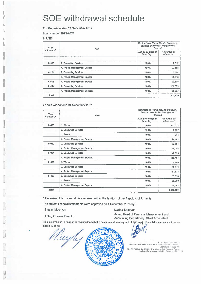# **SOE** withdrawal schedule

For the vear ended 31 December 2019

Loan number 2993-ARM

In USD

| No of      | <b>Item</b>                   |                                 | Contracts on Works, Goods, Consulting<br>Services and Project Management<br>Support |  |  |
|------------|-------------------------------|---------------------------------|-------------------------------------------------------------------------------------|--|--|
| withdrawal |                               | ADB percentage of<br>financing* | Amount to be<br>reimbursed                                                          |  |  |
|            |                               |                                 |                                                                                     |  |  |
| 00099      | 2. Consulting Services        | 100%                            | 2.912                                                                               |  |  |
|            | 4. Project Management Support | 100%                            | 66,588                                                                              |  |  |
| 00104      | 2. Consulting Services        | 100%                            | 8,894                                                                               |  |  |
|            | 4. Project Management Support | 100%                            | 59,916                                                                              |  |  |
| 00105      | 4. Project Management Support | 100%                            | 69,500                                                                              |  |  |
| 00114      | 2. Consulting Services        | 100%                            | 139,373                                                                             |  |  |
|            | 4. Project Management Support | 100%                            | 60,627                                                                              |  |  |
| Total      |                               |                                 | 407,810                                                                             |  |  |

#### For the year ended 31 December 2018

| No of<br>withdrawal | Item                          |                                 | Contracts on Works, Goods, Consulting<br>Services and Project Management<br>Support |  |  |
|---------------------|-------------------------------|---------------------------------|-------------------------------------------------------------------------------------|--|--|
|                     |                               | ADB percentage of<br>financing* | Amount to be<br>reimbursed                                                          |  |  |
| 00078               | 1. Works                      | 100%                            | 891,231                                                                             |  |  |
|                     | 2. Consulting Services        | 100%                            | 2.932                                                                               |  |  |
|                     | 3. Goods                      | 100%                            | 955                                                                                 |  |  |
|                     | 4. Project Management Support | 100%                            | 74,882                                                                              |  |  |
| 00080               | 2. Consulting Services        | 100%                            | 97,501                                                                              |  |  |
|                     | 4. Project Management Support | 100%                            | 54,348                                                                              |  |  |
| 00084               | 2. Consulting Services        | 100%                            | 40,635                                                                              |  |  |
|                     | 4. Project Management Support | 100%                            | 110,481                                                                             |  |  |
| 00086               | 1. Works                      | 100%                            | 5.895                                                                               |  |  |
|                     | 2. Consulting Services        | 100%                            | 86,579                                                                              |  |  |
|                     | 4. Project Management Support | 100%                            | 51,673                                                                              |  |  |
| 00090               | 2. Consulting Services        | 100%                            | 53,598                                                                              |  |  |
|                     | 3. Goods                      | 100%                            | 39,990                                                                              |  |  |
|                     | 4. Project Management Support | 100%                            | 56,462                                                                              |  |  |
| Total               |                               |                                 | 1,567,162                                                                           |  |  |

\* Exclusive of taxes and duties imposed within the territory of the Republic of Armenia

The project financial statements were approved on 4 December 2020 by:

Stepan Machyan

Marina Safaryan

**Acting General Director** 

Acting Head of Financial Management and Accounting Department, Chief Accountant

This statement is to be read in conjunction with the notes to and forming part of the project financial statements set out on pages 10 to 18.

02702

Mughy

Fload Department" Shocol Prode<br>North-South Road Corndor Investment program = Project 3<br>Loan Number 2993-AN<br>Project Financial Statements and Independent Audiors Report<br>As of and for the year ended 31 December 2019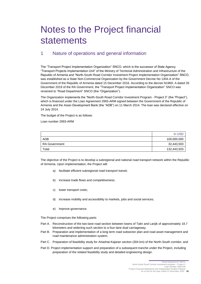# <span id="page-9-0"></span>Notes to the Project financial statements

### 1 Nature of operations and general information

The "Transport Project Implementation Organization" SNCO, which is the successor of State Agency "Transport Projects Implementation Unit" of the Ministry of Territorial Administration and Infrastructure of the Republic of Armenia and "North-South Road Corridor Investment Project Implementation Organization" SNCO, was established as a State Non-Commercial Organization by the Government Decree No 1304-A of the Government of the Republic of Armenia dated 15 December 2016. According to the decree N1969- A dated 26 December 2019 of the RA Government, the "Transport Project Implementation Organization" SNCO was renamed to "Road Department" SNCO (the "Organization").

The Organization implements the "North-South Road Corridor Investment Program - Project 3" (the "Project"), which is financed under the Loan Agreement 2993-ARM signed between the Government of the Republic of Armenia and the Asian Development Bank (the "ADB") on 11 March 2014. The loan was declared effective on 24 July 2014.

The budget of the Project is as follows:

Loan number 2993-ARM

|                      | In USD      |
|----------------------|-------------|
| <b>ADB</b>           | 100,000,000 |
| <b>RA Government</b> | 32,443,503  |
| Total                | 132,443,503 |

The objective of the Project is to develop a subregional and national road transport network within the Republic of Armenia. Upon implementation, the Project will:

- a) facilitate efficient subregional road transport transit;
- b) increase trade flows and competitiveness;
- c) lower transport costs;
- d) increase mobility and accessibility to markets, jobs and social services;
- e) improve governance.

The Project comprises the following parts:

- Part A. Reconstruction of the two-lane road section between towns of Talin and Lanjik of approximately 18.7 kilometers and widening such section to a four-lane dual carriageway;
- Part B. Preparation and implementation of a long term road subsector plan and road asset management and road maintenance administration system;
- Part C. Preparation of feasibility study for Artashat-Kajaran section (304 km) of the North-South corridor; and
- Part D. Project implementation support and preparation of a subsequent tranche under the Project, including preparation of the related feasibility study and detailed engineering design.

"Road Department" SNCO North-South Road Corridor Investment program – Project 3

Loan Number 2993-AM

Project Financial Statements and Independent Auditor's Report As of and for the year ended 31 December 2019 **10**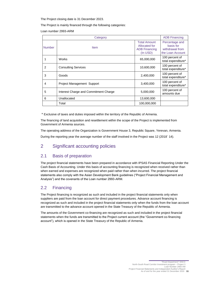The Project closing date is 31 December 2023.

The Project is mainly financed through the following categories:

Loan number 2993-ARM

|                | Category                              |                                                                          | <b>ADB Financing</b>                                               |
|----------------|---------------------------------------|--------------------------------------------------------------------------|--------------------------------------------------------------------|
| <b>Number</b>  | <b>Item</b>                           | <b>Total Amount</b><br>Allocated for<br><b>ADB Financing</b><br>(In USD) | Percentage and<br>basis for<br>withdrawal from<br>the Loan Account |
|                | Works                                 | 65,000,000                                                               | 100 percent of<br>total expenditure*                               |
| $\overline{2}$ | <b>Consulting Services</b>            | 10,600,000                                                               | 100 percent of<br>total expenditure*                               |
| 3              | Goods                                 | 2,400,000                                                                | 100 percent of<br>total expenditure*                               |
| 4              | Project Management Support            | 3,400,000                                                                | 100 percent of<br>total expenditure*                               |
| 5              | Interest Charge and Commitment Charge | 5,000,000                                                                | 100 percent of<br>amounts due                                      |
| 6              | Unallocated                           | 13,600,000                                                               |                                                                    |
|                | Total                                 | 100,000,000                                                              |                                                                    |

\* Exclusive of taxes and duties imposed within the territory of the Republic of Armenia.

The financing of land acquisition and resettlement within the scope of the Project is implemented from Government of Armenia sources.

The operating address of the Organization is Government House 3, Republic Square, Yerevan, Armenia.

During the reporting year the average number of the staff involved in the Project was 12 (2018` 14).

### 2 Significant accounting policies

#### 2.1 Basis of preparation

The project financial statements have been prepared in accordance with IPSAS Financial Reporting Under the Cash Basis of Accounting. Under this basis of accounting financing is recognized when received rather than when earned and expenses are recognized when paid rather than when incurred. The project financial statements also comply with the Asian Development Bank guidelines ("Project Financial Management and Analysis") and the covenants of the Loan number 2993-ARM.

### 2.2 Financing

The Project financing is recognized as such and included in the project financial statements only when suppliers are paid from the loan account for direct payment procedures. Advance account financing is recognized as such and included in the project financial statements only when the funds from the loan account are transmitted to the advance account opened in the State Treasury of the Republic of Armenia.

The amounts of the Government co-financing are recognized as such and included in the project financial statements when the funds are transmitted to the Project current account (the "Government co-financing account"), which is opened in the State Treasury of the Republic of Armenia.

> Road Department" SNCO"<br>North-South Road Corridor Investment program – Project 3 Loan Number 2993-AM Project Financial Statements and Independent Auditor's Report As of and for the year ended 31 December 2019 **11**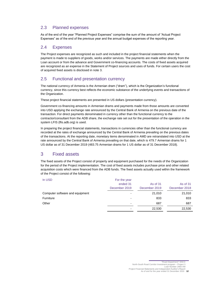### 2.3 Planned expenses

As of the end of the year "Planned Project Expenses" comprise the sum of the amount of "Actual Project Expenses" as of the end of the previous year and the annual budget expenses of the reporting year.

#### 2.4 Expenses

The Project expenses are recognized as such and included in the project financial statements when the payment is made to suppliers of goods, works and/or services. The payments are made either directly from the Loan account or from the advance and Government co-financing accounts. The costs of fixed assets acquired are recognized as an expense in the Statement of Project sources and uses of funds. For certain users the cost of acquired fixed assets is disclosed in note [3.](#page-11-0)

### 2.5 Functional and presentation currency

The national currency of Armenia is the Armenian dram ("dram"), which is the Organization's functional currency, since this currency best reflects the economic substance of the underlying events and transactions of the Organization.

These project financial statements are presented in US dollars (presentation currency).

Government co-financing amounts in Armenian drams and payments made from those amounts are converted into USD applying the exchange rate announced by the Central Bank of Armenia on the previous date of the transaction. For direct payments denominated in currency other than the functional currency to the contractor/consultant from the ADB share, the exchange rate set out for the presentation of the operation in the system LFIS (lfis.adb.org) is used.

In preparing the project financial statements, transactions in currencies other than the functional currency are recorded at the rates of exchange announced by the Central Bank of Armenia prevailing on the previous dates of the transactions. At the reporting date, monetary items denominated in AMD are retranslated into USD at the rate announced by the Central Bank of Armenia prevailing on that date, which is 479.7 Armenian drams for 1 US dollar as of 31 December 2019 (483.75 Armenian drams for 1 US dollar as of 31 December 2018).

### <span id="page-11-0"></span>3 Fixed assets

The fixed assets of the Project consist of property and equipment purchased for the needs of the Organization for the period of the Project implementation. The cost of fixed assets includes purchase price and other related acquisition costs which were financed from the ADB funds. The fixed assets actually used within the framework of the Project consist of the following:

In USD For the year

|                                 | ended 31                 | As of 31      | As of 31      |
|---------------------------------|--------------------------|---------------|---------------|
|                                 | December 2019            | December 2019 | December 2018 |
| Computer software and equipment |                          | 21,010        | 21,010        |
| Furniture                       | $\overline{\phantom{0}}$ | 833           | 833           |
| Other                           | $\overline{\phantom{0}}$ | 687           | 687           |
|                                 | ۰                        | 22,530        | 22,530        |
|                                 |                          |               |               |

Loan Number 2993-AM

<sup>&</sup>quot;Road Department" SNCO North-South Road Corridor Investment program – Project 3

Project Financial Statements and Independent Auditor's Report As of and for the year ended 31 December 2019 **12**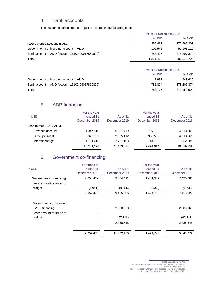### 4 Bank accounts

The account balances of the Project are stated in the following table:

|                                                 | As of 31 December 2019 |               |  |
|-------------------------------------------------|------------------------|---------------|--|
|                                                 | In USD                 | In AMD        |  |
| ADB advance account in USD                      | 356,463                | 170,995,301   |  |
| Government co-financing account in AMD          | 106.542                | 51,108,119    |  |
| Bank account in AMD (account 15100-09017860800) | 788.425                | 378, 207, 374 |  |
| Total                                           | 1,251,430              | 600,310,794   |  |

|                                                 | As of 31 December 2018 |             |  |
|-------------------------------------------------|------------------------|-------------|--|
|                                                 | In USD                 | In AMD      |  |
| Government co-financing account in AMD          | 1.951                  | 943.620     |  |
| Bank account in AMD (account 15100-09017860800) | 781.824                | 378,207,374 |  |
| Total                                           | 783.775                | 379,150,994 |  |

# 5 ADB financing

| In USD               | For the year<br>ended 31<br>December 2019 | As of 31<br>December 2019 | For the year<br>ended 31<br>December 2018 | As of 31<br>December 2018 |
|----------------------|-------------------------------------------|---------------------------|-------------------------------------------|---------------------------|
| Loan number 2993-ARM |                                           |                           |                                           |                           |
| Advance account      | 1,047,810                                 | 5,561,419                 | 797.162                                   | 4,513,609                 |
| Direct payment       | 8,072,051                                 | 32,885,112                | 5,953,559                                 | 24,813,061                |
| Interest charge      | 1,164,415                                 | 2,717,103                 | 741.193                                   | 1,552,688                 |
|                      | 10,284,276                                | 41,163,634                | 7,491,914                                 | 30,879,358                |

# 6 Government co-financing

|                          | For the year  |               | For the year  |               |
|--------------------------|---------------|---------------|---------------|---------------|
| In USD                   | ended 31      | As of 31      | ended 31      | As of 31      |
|                          | December 2019 | December 2019 | December 2018 | December 2018 |
| Government co-financing  | 2,054,429     | 9,474,491     | 1,431,369     | 7,420,062     |
| Less: amount returned to |               |               |               |               |
| budget                   | (1,951)       | (8,686)       | (6,643)       | (6, 735)      |
|                          | 2,052,478     | 9,465,805     | 1,424,726     | 7,413,327     |
| Government co-financing, |               |               |               |               |
| LARP financing           |               | 2,533,963     |               | 2,533,963     |
| Less: amount returned to |               |               |               |               |
| budget                   |               | (97, 318)     |               | (97, 318)     |
|                          |               | 2,436,645     |               | 2,436,645     |
|                          | 2,052,478     | 11,902,450    | 1,424,726     | 9,849,972     |
|                          |               |               |               |               |

<sup>&</sup>quot;Road Department" SNCO North-South Road Corridor Investment program – Project 3 Loan Number 2993-AM Project Financial Statements and Independent Auditor's Report As of and for the year ended 31 December 2019 **13**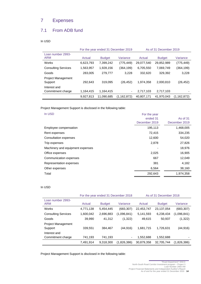# 7 Expenses

### 7.1 From ADB fund

In USD

|                                      | For the year ended 31 December 2019 |               |               |            | As of 31 December 2019 |               |
|--------------------------------------|-------------------------------------|---------------|---------------|------------|------------------------|---------------|
| Loan number 2993-<br><b>ARM</b>      | Actual                              | <b>Budget</b> | Variance      | Actual     | <b>Budget</b>          | Variance      |
| Works                                | 6,623,793                           | 7,399,242     | (775, 449)    | 29,077,540 | 29,852,989             | (775,449)     |
| <b>Consulting Services</b>           | 1,563,957                           | 1,928,156     | (364, 199)    | 6,705,550  | 7,069,749              | (364,199)     |
| Goods                                | 283,005                             | 279,777       | 3.228         | 332,620    | 329,392                | 3,228         |
| <b>Project Management</b><br>Support | 292.643                             | 319,095       | (26, 452)     | 1,974,358  | 2.000.810              | (26, 452)     |
| Interest and                         |                                     |               |               |            |                        |               |
| Commitment charge                    | 1,164,415                           | 1,164,415     | ٠             | 2,717,103  | 2,717,103              |               |
|                                      | 9.927.813                           | 11.090.685    | (1, 162, 872) | 40,807,171 | 41.970.043             | (1, 162, 872) |

Project Management Support is disclosed in the following table:

| In USD                           | For the year<br>ended 31<br>December 2019 | As of $31$<br>December 2019 |
|----------------------------------|-------------------------------------------|-----------------------------|
| Employee compensation            | 195,113                                   | 1,468,005                   |
| Rent expenses                    | 72,415                                    | 334,235                     |
| Consultation expenses            | 12,600                                    | 54,020                      |
| Trip expenses                    | 2,878                                     | 27,826                      |
| Machinery and equipment expenses |                                           | 18,976                      |
| Office expenses                  | 2,025                                     | 16,905                      |
| Communication expenses           | 667                                       | 12,049                      |
| Representation expenses          | 381                                       | 4,182                       |
| Other expenses                   | 6,564                                     | 38,160                      |
| Total                            | 292,643                                   | 1,974,358                   |

#### In USD

|                                      | For the year ended 31 December 2018<br>As of 31 December 2018 |               |             |            |               |             |
|--------------------------------------|---------------------------------------------------------------|---------------|-------------|------------|---------------|-------------|
| Loan number 2993-<br><b>ARM</b>      | Actual                                                        | <b>Budget</b> | Variance    | Actual     | <b>Budget</b> | Variance    |
| Works                                | 4,771,138                                                     | 5,454,445     | (683, 307)  | 22,453,747 | 23,137,054    | (683, 307)  |
| <b>Consulting Services</b>           | 1,600,042                                                     | 2,696,883     | (1,096,841) | 5,141,593  | 6,238,434     | (1,096,841) |
| Goods                                | 39,990                                                        | 41.312        | (1,322)     | 49,615     | 50,937        | (1, 322)    |
| <b>Project Management</b><br>Support | 339.551                                                       | 384,467       | (44, 916)   | 1,681,715  | 1,726,631     | (44,916)    |
| Interest and<br>Commitment charge    | 741,193                                                       | 741,193       | ۰           | 1,552,688  | 1,552,688     |             |
|                                      | 7,491,914                                                     | 9.318.300     | (1,826,386) | 30,879,358 | 32,705,744    | (1,826,386) |

Project Management Support is disclosed in the following table:

<sup>&</sup>quot;Road Department" SNCO North-South Road Corridor Investment program – Project 3 Loan Number 2993-AM Project Financial Statements and Independent Auditor's Report As of and for the year ended 31 December 2019 **14**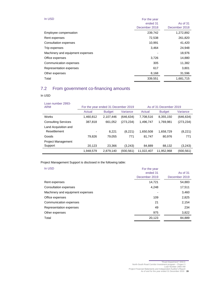| In USD                           | For the year<br>ended 31<br>December 2018 | As of 31<br>December 2018 |
|----------------------------------|-------------------------------------------|---------------------------|
| Employee compensation            | 239,742                                   | 1,272,892                 |
| Rent expenses                    | 72,538                                    | 261,820                   |
| Consultation expenses            | 10,991                                    | 41,420                    |
| Trip expenses                    | 3,464                                     | 24,948                    |
| Machinery and equipment expenses |                                           | 18,976                    |
| Office expenses                  | 3,726                                     | 14,880                    |
| Communication expenses           | 305                                       | 11,382                    |
| Representation expenses          | 617                                       | 3,801                     |
| Other expenses                   | 8,168                                     | 31,596                    |
| Total                            | 339,551                                   | 1,681,715                 |

# 7.2 From government co-financing amounts

#### In USD

| Loan number 2993-<br><b>ARM</b> | For the year ended 31 December 2019 |               | As of 31 December 2019 |            |               |            |
|---------------------------------|-------------------------------------|---------------|------------------------|------------|---------------|------------|
|                                 | Actual                              | <b>Budget</b> | Variance               | Actual     | <b>Budget</b> | Variance   |
| <b>Works</b>                    | 1,460,812                           | 2.107.446     | (646, 634)             | 7,708,516  | 8,355,150     | (646, 634) |
| <b>Consulting Services</b>      | 387,818                             | 661,052       | (273, 234)             | 1,496,747  | 1,769,981     | (273, 234) |
| Land Acquisition and            |                                     |               |                        |            |               |            |
| Resettlement                    |                                     | 8.221         | (8,221)                | 1,650,508  | 1,658,729     | (8,221)    |
| Goods                           | 79.826                              | 79.055        | 771                    | 81,747     | 80,976        | 771        |
| <b>Project Management</b>       |                                     |               |                        |            |               |            |
| Support                         | 20,123                              | 23.366        | (3,243)                | 84,889     | 88,132        | (3,243)    |
|                                 | 1,948,579                           | 2,879,140     | (930, 561)             | 11,022,407 | 11,952,968    | (930, 561) |

Project Management Support is disclosed in the following table:

| In USD                           | For the year  |               |
|----------------------------------|---------------|---------------|
|                                  | ended 31      | As of 31      |
|                                  | December 2019 | December 2019 |
| Rent expenses                    | 14,721        | 54,883        |
| Consultation expenses            | 4,248         | 17,511        |
| Machinery and equipment expenses |               | 3,460         |
| Office expenses                  | 109           | 2,825         |
| Communication expenses           | 21            | 2,154         |
| Representation expenses          | 49            | 234           |
| Other expenses                   | 975           | 3,822         |
| Total                            | 20,123        | 84,889        |

"Road Department" SNCO<br>
North-South Road Corridor Investment program – Project 3<br>
Loan Number 2993-AM<br>
Project Financial Statements and Independent Auditor's Report<br>
As of and for the year ended 31 December 2019 **15**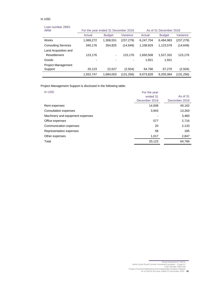#### In USD

#### Loan number 2993-

| <b>ARM</b>                 | For the year ended 31 December 2018 |               | As of 31 December 2018 |           |               |            |
|----------------------------|-------------------------------------|---------------|------------------------|-----------|---------------|------------|
|                            | Actual                              | <b>Budget</b> | Variance               | Actual    | <b>Budget</b> | Variance   |
| Works                      | 1,069,272                           | 1,306,551     | (237, 279)             | 6,247,704 | 6,484,983     | (237, 279) |
| <b>Consulting Services</b> | 340,176                             | 354,825       | (14,649)               | 1,108,929 | 1,123,578     | (14, 649)  |
| Land Acquisition and       |                                     |               |                        |           |               |            |
| Resettlement               | 123,176                             | ۰             | 123.176                | 1.650.508 | 1,527,332     | 123,176    |
| Goods                      |                                     |               |                        | 1,921     | 1.921         |            |
| <b>Project Management</b>  |                                     |               |                        |           |               |            |
| Support                    | 20,123                              | 22.627        | (2,504)                | 64,766    | 67.270        | (2,504)    |
|                            | 1,552,747                           | 1,684,003     | (131, 256)             | 9,073,828 | 9,205,084     | (131, 256) |

Project Management Support is disclosed in the following table:

| In USD                           | For the year<br>ended 31 | As of 31      |
|----------------------------------|--------------------------|---------------|
|                                  | December 2018            | December 2018 |
| Rent expenses                    | 14,508                   | 40,162        |
| Consultation expenses            | 3,943                    | 13,263        |
| Machinery and equipment expenses |                          | 3,460         |
| Office expenses                  | 577                      | 2,716         |
| Communication expenses           | 20                       | 2,133         |
| Representation expenses          | 58                       | 185           |
| Other expenses                   | 1,017                    | 2,847         |
| Total                            | 20,123                   | 64,766        |

# "Road Department" SNCO North-South Road Corridor Investment program – Project 3 Loan Number 2993-AM Project Financial Statements and Independent Auditor's Report As of and for the year ended 31 December 2019 **16**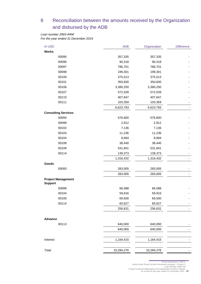# 8 Reconciliation between the amounts received by the Organization and disbursed by the ADB

*Loan number 2993-ARM For the year ended 31 December 2019*

| In USD                                      | <b>ADB</b> | Organization | <b>Difference</b> |
|---------------------------------------------|------------|--------------|-------------------|
| <b>Works</b>                                |            |              |                   |
| 00095                                       | 357,335    | 357,335      |                   |
| 00096                                       | 90,318     | 90,318       |                   |
| 00097                                       | 786,701    | 786,701      |                   |
| 00098                                       | 199,301    | 199,301      |                   |
| 00100                                       | 375,513    | 375,513      |                   |
| 00101                                       | 350,830    | 350,830      |                   |
| 00106                                       | 3,380,250  | 3,380,250    |                   |
| 00107                                       | 572,539    | 572,539      |                   |
| 00110                                       | 407,647    | 407,647      |                   |
| 00111                                       | 103,359    | 103,359      |                   |
|                                             | 6,623,793  | 6,623,793    |                   |
| <b>Consulting Services</b>                  |            |              |                   |
| 00094                                       | 576,600    | 576,600      |                   |
| 00099                                       | 2,912      | 2,912        |                   |
| 00102                                       | 7,136      | 7,136        |                   |
| 00103                                       | 11,236     | 11,236       |                   |
| 00104                                       | 8,894      | 8,894        |                   |
| 00108                                       | 38,440     | 38,440       |                   |
| 00109                                       | 531,841    | 531,841      |                   |
| 00114                                       | 139,373    | 139,373      |                   |
|                                             | 1,316,432  | 1,316,432    |                   |
| Goods                                       |            |              |                   |
| 00093                                       | 283,005    | 283,005      |                   |
|                                             | 283,005    | 283,005      |                   |
| <b>Project Management</b><br><b>Support</b> |            |              |                   |
| 00099                                       | 66,588     | 66,588       |                   |
| 00104                                       | 59,916     | 59,916       |                   |
| 00105                                       | 69,500     | 69,500       |                   |
| 00114                                       | 60,627     | 60,627       |                   |
|                                             | 256,631    | 256,631      |                   |
|                                             |            |              |                   |
| <b>Advance</b>                              |            |              |                   |
| 00113                                       | 640,000    | 640,000      |                   |
|                                             | 640,000    | 640,000      |                   |
| Interest                                    | 1,164,415  | 1,164,415    |                   |
| Total                                       | 10,284,276 | 10,284,276   |                   |
|                                             |            |              |                   |

"Road Department" SNCO North-South Road Corridor Investment program – Project 3 Loan Number 2993-AM Project Financial Statements and Independent Auditor's Report As of and for the year ended 31 December 2019 **17**